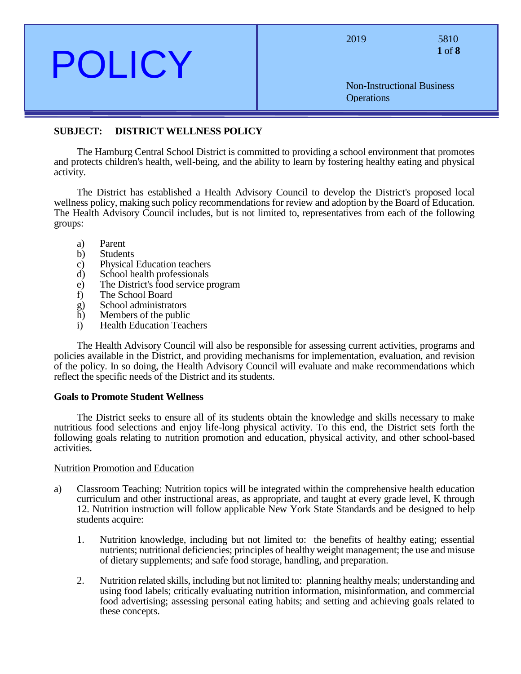| $\boldsymbol{\nu}$ ( )                        | 2019<br><b>Non-Instructional Business</b><br><b>Operations</b> | 5810<br>1 of 8 |
|-----------------------------------------------|----------------------------------------------------------------|----------------|
| DICTRICT WELL NESS DOI ICV<br><b>SURIECT.</b> |                                                                |                |

# **SUBJECT: DISTRICT WELLNESS POLICY**

The Hamburg Central School District is committed to providing a school environment that promotes and protects children's health, well-being, and the ability to learn by fostering healthy eating and physical activity.

The District has established a Health Advisory Council to develop the District's proposed local wellness policy, making such policy recommendations for review and adoption by the Board of Education. The Health Advisory Council includes, but is not limited to, representatives from each of the following groups:

- a) Parent
- b) Students
- c) Physical Education teachers
- d) School health professionals
- e) The District's food service program
- f) The School Board
- g) School administrators
- h) Members of the public
- i) Health Education Teachers

The Health Advisory Council will also be responsible for assessing current activities, programs and policies available in the District, and providing mechanisms for implementation, evaluation, and revision of the policy. In so doing, the Health Advisory Council will evaluate and make recommendations which reflect the specific needs of the District and its students.

#### **Goals to Promote Student Wellness**

The District seeks to ensure all of its students obtain the knowledge and skills necessary to make nutritious food selections and enjoy life-long physical activity. To this end, the District sets forth the following goals relating to nutrition promotion and education, physical activity, and other school-based activities.

#### Nutrition Promotion and Education

- a) Classroom Teaching: Nutrition topics will be integrated within the comprehensive health education curriculum and other instructional areas, as appropriate, and taught at every grade level, K through 12. Nutrition instruction will follow applicable New York State Standards and be designed to help students acquire:
	- 1. Nutrition knowledge, including but not limited to: the benefits of healthy eating; essential nutrients; nutritional deficiencies; principles of healthy weight management; the use and misuse of dietary supplements; and safe food storage, handling, and preparation.
	- 2. Nutrition related skills, including but not limited to: planning healthy meals; understanding and using food labels; critically evaluating nutrition information, misinformation, and commercial food advertising; assessing personal eating habits; and setting and achieving goals related to these concepts.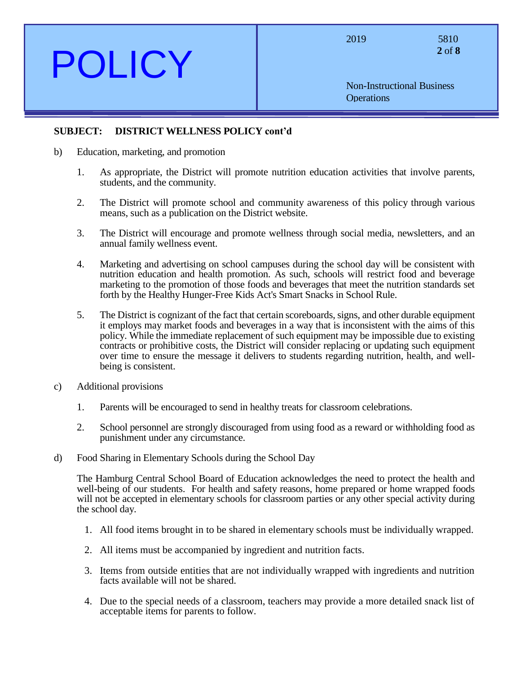**2** of **8**

Non-Instructional Business **Operations** 

## **SUBJECT: DISTRICT WELLNESS POLICY cont'd**

- b) Education, marketing, and promotion
	- 1. As appropriate, the District will promote nutrition education activities that involve parents, students, and the community.
	- 2. The District will promote school and community awareness of this policy through various means, such as a publication on the District website.
	- 3. The District will encourage and promote wellness through social media, newsletters, and an annual family wellness event.
	- 4. Marketing and advertising on school campuses during the school day will be consistent with nutrition education and health promotion. As such, schools will restrict food and beverage marketing to the promotion of those foods and beverages that meet the nutrition standards set forth by the Healthy Hunger-Free Kids Act's Smart Snacks in School Rule.
	- 5. The District is cognizant of the fact that certain scoreboards, signs, and other durable equipment it employs may market foods and beverages in a way that is inconsistent with the aims of this policy. While the immediate replacement of such equipment may be impossible due to existing contracts or prohibitive costs, the District will consider replacing or updating such equipment over time to ensure the message it delivers to students regarding nutrition, health, and wellbeing is consistent.
- c) Additional provisions
	- 1. Parents will be encouraged to send in healthy treats for classroom celebrations.
	- 2. School personnel are strongly discouraged from using food as a reward or withholding food as punishment under any circumstance.
- d) Food Sharing in Elementary Schools during the School Day

The Hamburg Central School Board of Education acknowledges the need to protect the health and well-being of our students. For health and safety reasons, home prepared or home wrapped foods will not be accepted in elementary schools for classroom parties or any other special activity during the school day.

- 1. All food items brought in to be shared in elementary schools must be individually wrapped.
- 2. All items must be accompanied by ingredient and nutrition facts.
- 3. Items from outside entities that are not individually wrapped with ingredients and nutrition facts available will not be shared.
- 4. Due to the special needs of a classroom, teachers may provide a more detailed snack list of acceptable items for parents to follow.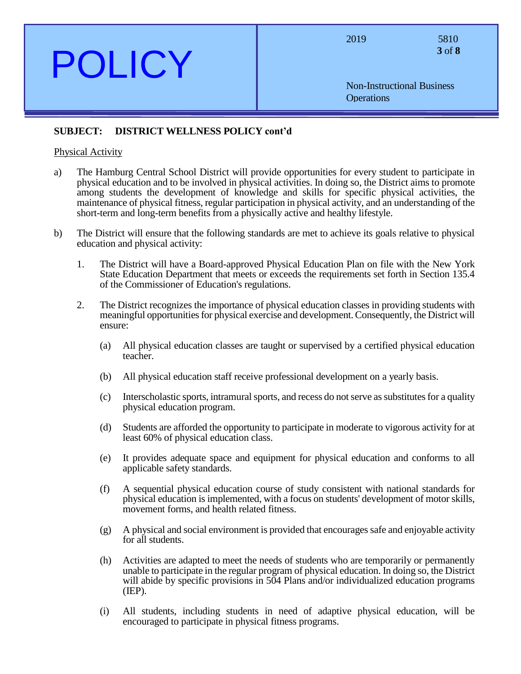**3** of **8**

Non-Instructional Business **Operations** 

# **SUBJECT: DISTRICT WELLNESS POLICY cont'd**

### Physical Activity

- a) The Hamburg Central School District will provide opportunities for every student to participate in physical education and to be involved in physical activities. In doing so, the District aims to promote among students the development of knowledge and skills for specific physical activities, the maintenance of physical fitness, regular participation in physical activity, and an understanding of the short-term and long-term benefits from a physically active and healthy lifestyle.
- b) The District will ensure that the following standards are met to achieve its goals relative to physical education and physical activity:
	- 1. The District will have a Board-approved Physical Education Plan on file with the New York State Education Department that meets or exceeds the requirements set forth in Section 135.4 of the Commissioner of Education's regulations.
	- 2. The District recognizes the importance of physical education classes in providing students with meaningful opportunities for physical exercise and development. Consequently, the District will ensure:
		- (a) All physical education classes are taught or supervised by a certified physical education teacher.
		- (b) All physical education staff receive professional development on a yearly basis.
		- (c) Interscholastic sports, intramural sports, and recess do not serve as substitutes for a quality physical education program.
		- (d) Students are afforded the opportunity to participate in moderate to vigorous activity for at least 60% of physical education class.
		- (e) It provides adequate space and equipment for physical education and conforms to all applicable safety standards.
		- (f) A sequential physical education course of study consistent with national standards for physical education is implemented, with a focus on students' development of motor skills, movement forms, and health related fitness.
		- (g) A physical and social environment is provided that encourages safe and enjoyable activity for all students.
		- (h) Activities are adapted to meet the needs of students who are temporarily or permanently unable to participate in the regular program of physical education. In doing so, the District will abide by specific provisions in 504 Plans and/or individualized education programs (IEP).
		- (i) All students, including students in need of adaptive physical education, will be encouraged to participate in physical fitness programs.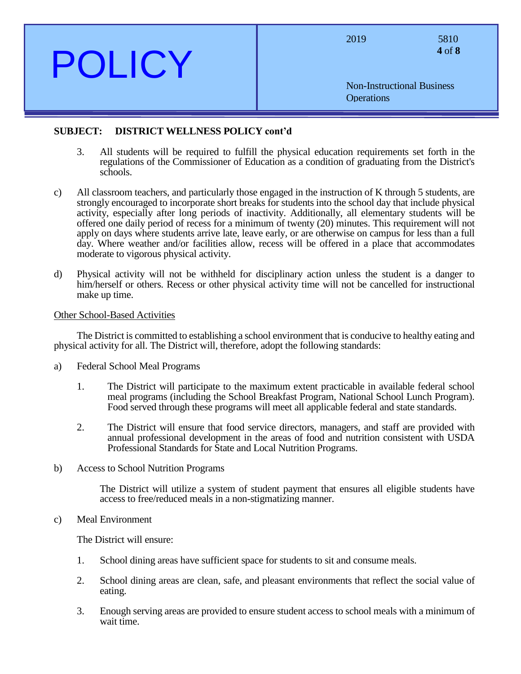| <b>POLICY</b> | 2019<br>5810<br>4 of 8                                 |
|---------------|--------------------------------------------------------|
|               | <b>Non-Instructional Business</b><br><b>Operations</b> |
|               |                                                        |

### **SUBJECT: DISTRICT WELLNESS POLICY cont'd**

- 3. All students will be required to fulfill the physical education requirements set forth in the regulations of the Commissioner of Education as a condition of graduating from the District's schools.
- c) All classroom teachers, and particularly those engaged in the instruction of K through 5 students, are strongly encouraged to incorporate short breaks for students into the school day that include physical activity, especially after long periods of inactivity. Additionally, all elementary students will be offered one daily period of recess for a minimum of twenty (20) minutes. This requirement will not apply on days where students arrive late, leave early, or are otherwise on campus for less than a full day. Where weather and/or facilities allow, recess will be offered in a place that accommodates moderate to vigorous physical activity.
- d) Physical activity will not be withheld for disciplinary action unless the student is a danger to him/herself or others. Recess or other physical activity time will not be cancelled for instructional make up time.

#### Other School-Based Activities

The District is committed to establishing a school environment that is conducive to healthy eating and physical activity for all. The District will, therefore, adopt the following standards:

- a) Federal School Meal Programs
	- 1. The District will participate to the maximum extent practicable in available federal school meal programs (including the School Breakfast Program, National School Lunch Program). Food served through these programs will meet all applicable federal and state standards.
	- 2. The District will ensure that food service directors, managers, and staff are provided with annual professional development in the areas of food and nutrition consistent with USDA Professional Standards for State and Local Nutrition Programs.
- b) Access to School Nutrition Programs

The District will utilize a system of student payment that ensures all eligible students have access to free/reduced meals in a non-stigmatizing manner.

#### c) Meal Environment

The District will ensure:

- 1. School dining areas have sufficient space for students to sit and consume meals.
- 2. School dining areas are clean, safe, and pleasant environments that reflect the social value of eating.
- 3. Enough serving areas are provided to ensure student access to school meals with a minimum of wait time.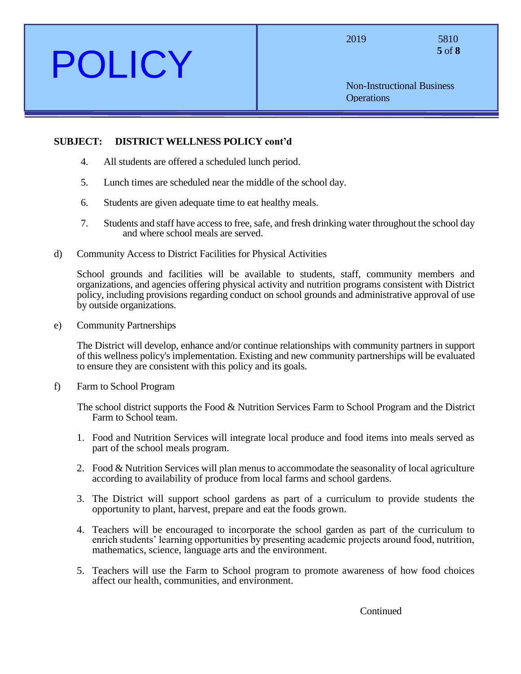**5** of **8**

Non-Instructional Business **Operations** 

# **SUBJECT: DISTRICT WELLNESS POLICY cont'd**

- 4. All students are offered a scheduled lunch period.
- 5. Lunch times are scheduled near the middle of the school day.
- 6. Students are given adequate time to eat healthy meals.
- 7. Students and staff have access to free, safe, and fresh drinking water throughout the school day and where school meals are served.
- d) Community Access to District Facilities for Physical Activities

School grounds and facilities will be available to students, staff, community members and organizations, and agencies offering physical activity and nutrition programs consistent with District policy, including provisions regarding conduct on school grounds and administrative approval of use by outside organizations.

e) Community Partnerships

The District will develop, enhance and/or continue relationships with community partners in support of this wellness policy's implementation. Existing and new community partnerships will be evaluated to ensure they are consistent with this policy and its goals.

f) Farm to School Program

The school district supports the Food & Nutrition Services Farm to School Program and the District Farm to School team.

- 1. Food and Nutrition Services will integrate local produce and food items into meals served as part of the school meals program.
- 2. Food & Nutrition Services will plan menus to accommodate the seasonality of local agriculture according to availability of produce from local farms and school gardens.
- 3. The District will support school gardens as part of a curriculum to provide students the opportunity to plant, harvest, prepare and eat the foods grown.
- 4. Teachers will be encouraged to incorporate the school garden as part of the curriculum to enrich students' learning opportunities by presenting academic projects around food, nutrition, mathematics, science, language arts and the environment.
- 5. Teachers will use the Farm to School program to promote awareness of how food choices affect our health, communities, and environment.

**Continued**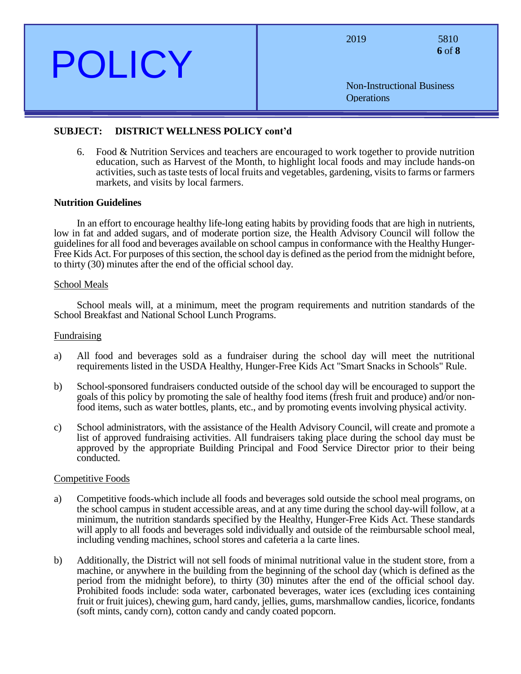| <b>POLICY</b> | 2019<br>5810<br>6 of 8                                 |
|---------------|--------------------------------------------------------|
|               | <b>Non-Instructional Business</b><br><b>Operations</b> |
|               |                                                        |
|               |                                                        |

### **SUBJECT: DISTRICT WELLNESS POLICY cont'd**

6. Food & Nutrition Services and teachers are encouraged to work together to provide nutrition education, such as Harvest of the Month, to highlight local foods and may include hands-on activities, such as taste tests of local fruits and vegetables, gardening, visits to farms or farmers markets, and visits by local farmers.

#### **Nutrition Guidelines**

In an effort to encourage healthy life-long eating habits by providing foods that are high in nutrients, low in fat and added sugars, and of moderate portion size, the Health Advisory Council will follow the guidelines for all food and beverages available on school campus in conformance with the Healthy Hunger-Free Kids Act. For purposes of this section, the school day is defined as the period from the midnight before, to thirty (30) minutes after the end of the official school day.

#### School Meals

School meals will, at a minimum, meet the program requirements and nutrition standards of the School Breakfast and National School Lunch Programs.

#### Fundraising

- a) All food and beverages sold as a fundraiser during the school day will meet the nutritional requirements listed in the USDA Healthy, Hunger-Free Kids Act "Smart Snacks in Schools" Rule.
- b) School-sponsored fundraisers conducted outside of the school day will be encouraged to support the goals of this policy by promoting the sale of healthy food items (fresh fruit and produce) and/or nonfood items, such as water bottles, plants, etc., and by promoting events involving physical activity.
- c) School administrators, with the assistance of the Health Advisory Council, will create and promote a list of approved fundraising activities. All fundraisers taking place during the school day must be approved by the appropriate Building Principal and Food Service Director prior to their being conducted.

#### Competitive Foods

- a) Competitive foods-which include all foods and beverages sold outside the school meal programs, on the school campus in student accessible areas, and at any time during the school day-will follow, at a minimum, the nutrition standards specified by the Healthy, Hunger-Free Kids Act. These standards will apply to all foods and beverages sold individually and outside of the reimbursable school meal, including vending machines, school stores and cafeteria a la carte lines.
- b) Additionally, the District will not sell foods of minimal nutritional value in the student store, from a machine, or anywhere in the building from the beginning of the school day (which is defined as the period from the midnight before), to thirty (30) minutes after the end of the official school day. Prohibited foods include: soda water, carbonated beverages, water ices (excluding ices containing fruit or fruit juices), chewing gum, hard candy, jellies, gums, marshmallow candies, licorice, fondants (soft mints, candy corn), cotton candy and candy coated popcorn.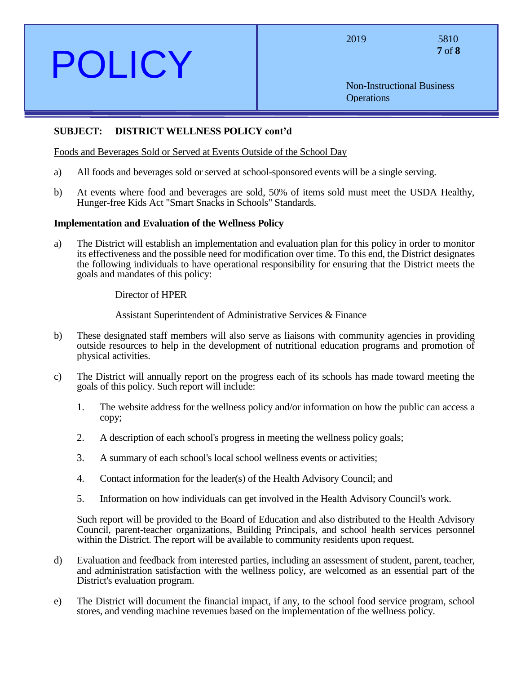**7** of **8**

Non-Instructional Business **Operations** 

## **SUBJECT: DISTRICT WELLNESS POLICY cont'd**

Foods and Beverages Sold or Served at Events Outside of the School Day

- a) All foods and beverages sold or served at school-sponsored events will be a single serving.
- b) At events where food and beverages are sold, 50% of items sold must meet the USDA Healthy, Hunger-free Kids Act "Smart Snacks in Schools" Standards.

### **Implementation and Evaluation of the Wellness Policy**

a) The District will establish an implementation and evaluation plan for this policy in order to monitor its effectiveness and the possible need for modification over time. To this end, the District designates the following individuals to have operational responsibility for ensuring that the District meets the goals and mandates of this policy:

Director of HPER

Assistant Superintendent of Administrative Services & Finance

- b) These designated staff members will also serve as liaisons with community agencies in providing outside resources to help in the development of nutritional education programs and promotion of physical activities.
- c) The District will annually report on the progress each of its schools has made toward meeting the goals of this policy. Such report will include:
	- 1. The website address for the wellness policy and/or information on how the public can access a copy;
	- 2. A description of each school's progress in meeting the wellness policy goals;
	- 3. A summary of each school's local school wellness events or activities;
	- 4. Contact information for the leader(s) of the Health Advisory Council; and
	- 5. Information on how individuals can get involved in the Health Advisory Council's work.

Such report will be provided to the Board of Education and also distributed to the Health Advisory Council, parent-teacher organizations, Building Principals, and school health services personnel within the District. The report will be available to community residents upon request.

- d) Evaluation and feedback from interested parties, including an assessment of student, parent, teacher, and administration satisfaction with the wellness policy, are welcomed as an essential part of the District's evaluation program.
- e) The District will document the financial impact, if any, to the school food service program, school stores, and vending machine revenues based on the implementation of the wellness policy.